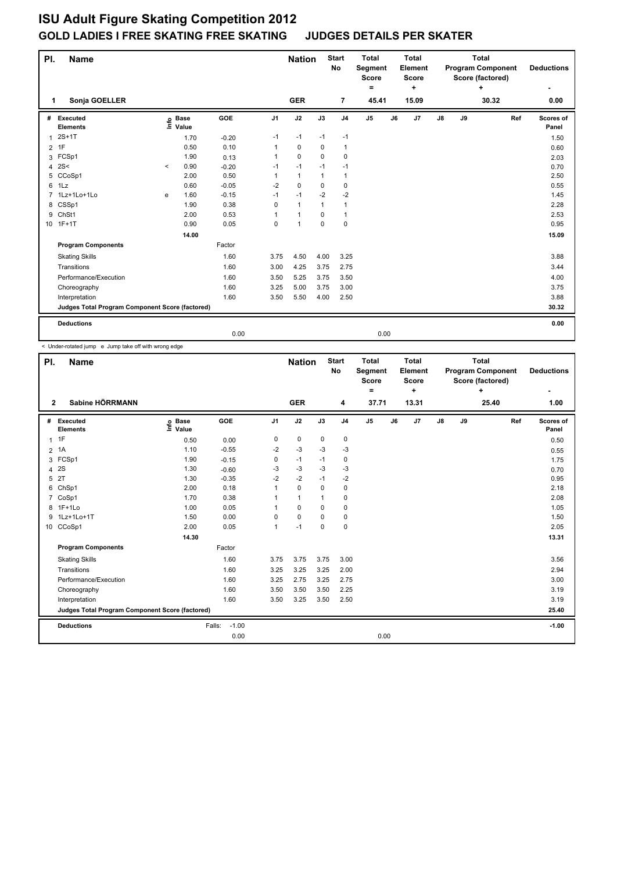| PI.<br><b>Name</b> |                                                 |         |                            |         |                | <b>Nation</b> |              | <b>Start</b><br>No | <b>Total</b><br>Segment<br><b>Score</b><br>= |    | <b>Total</b><br>Element<br><b>Score</b><br>÷ |    |    | <b>Total</b><br><b>Program Component</b><br>Score (factored)<br>÷ |     | <b>Deductions</b>  |  |
|--------------------|-------------------------------------------------|---------|----------------------------|---------|----------------|---------------|--------------|--------------------|----------------------------------------------|----|----------------------------------------------|----|----|-------------------------------------------------------------------|-----|--------------------|--|
| 1                  | Sonja GOELLER                                   |         |                            |         |                | <b>GER</b>    |              | 7                  | 45.41                                        |    | 15.09                                        |    |    | 30.32                                                             |     | 0.00               |  |
| #                  | Executed<br><b>Elements</b>                     |         | e Base<br>E Value<br>Value | GOE     | J <sub>1</sub> | J2            | J3           | J <sub>4</sub>     | J <sub>5</sub>                               | J6 | J7                                           | J8 | J9 |                                                                   | Ref | Scores of<br>Panel |  |
| 1                  | $2S+1T$                                         |         | 1.70                       | $-0.20$ | $-1$           | $-1$          | $-1$         | $-1$               |                                              |    |                                              |    |    |                                                                   |     | 1.50               |  |
|                    | $2$ 1F                                          |         | 0.50                       | 0.10    |                | $\mathbf 0$   | 0            | $\mathbf{1}$       |                                              |    |                                              |    |    |                                                                   |     | 0.60               |  |
| 3                  | FCSp1                                           |         | 1.90                       | 0.13    | 1              | $\Omega$      | $\Omega$     | $\mathbf 0$        |                                              |    |                                              |    |    |                                                                   |     | 2.03               |  |
| 4                  | 2S<                                             | $\prec$ | 0.90                       | $-0.20$ | $-1$           | $-1$          | $-1$         | $-1$               |                                              |    |                                              |    |    |                                                                   |     | 0.70               |  |
| 5                  | CCoSp1                                          |         | 2.00                       | 0.50    |                | $\mathbf{1}$  | $\mathbf{1}$ | $\mathbf{1}$       |                                              |    |                                              |    |    |                                                                   |     | 2.50               |  |
| 6                  | 1Lz                                             |         | 0.60                       | $-0.05$ | $-2$           | $\mathbf 0$   | 0            | 0                  |                                              |    |                                              |    |    |                                                                   |     | 0.55               |  |
|                    | 7 1Lz+1Lo+1Lo                                   | e       | 1.60                       | $-0.15$ | $-1$           | $-1$          | $-2$         | $-2$               |                                              |    |                                              |    |    |                                                                   |     | 1.45               |  |
| 8                  | CSSp1                                           |         | 1.90                       | 0.38    | 0              | $\mathbf{1}$  | $\mathbf{1}$ | $\mathbf{1}$       |                                              |    |                                              |    |    |                                                                   |     | 2.28               |  |
| 9                  | ChSt1                                           |         | 2.00                       | 0.53    |                | $\mathbf{1}$  | $\mathbf 0$  | $\mathbf{1}$       |                                              |    |                                              |    |    |                                                                   |     | 2.53               |  |
|                    | 10 1F+1T                                        |         | 0.90                       | 0.05    | 0              | $\mathbf{1}$  | $\mathbf 0$  | $\mathbf 0$        |                                              |    |                                              |    |    |                                                                   |     | 0.95               |  |
|                    |                                                 |         | 14.00                      |         |                |               |              |                    |                                              |    |                                              |    |    |                                                                   |     | 15.09              |  |
|                    | <b>Program Components</b>                       |         |                            | Factor  |                |               |              |                    |                                              |    |                                              |    |    |                                                                   |     |                    |  |
|                    | <b>Skating Skills</b>                           |         |                            | 1.60    | 3.75           | 4.50          | 4.00         | 3.25               |                                              |    |                                              |    |    |                                                                   |     | 3.88               |  |
|                    | Transitions                                     |         |                            | 1.60    | 3.00           | 4.25          | 3.75         | 2.75               |                                              |    |                                              |    |    |                                                                   |     | 3.44               |  |
|                    | Performance/Execution                           |         |                            | 1.60    | 3.50           | 5.25          | 3.75         | 3.50               |                                              |    |                                              |    |    |                                                                   |     | 4.00               |  |
|                    | Choreography                                    |         |                            | 1.60    | 3.25           | 5.00          | 3.75         | 3.00               |                                              |    |                                              |    |    |                                                                   |     | 3.75               |  |
|                    | Interpretation                                  |         |                            | 1.60    | 3.50           | 5.50          | 4.00         | 2.50               |                                              |    |                                              |    |    |                                                                   |     | 3.88               |  |
|                    | Judges Total Program Component Score (factored) |         |                            |         |                |               |              |                    |                                              |    |                                              |    |    |                                                                   |     | 30.32              |  |
|                    | <b>Deductions</b>                               |         |                            |         |                |               |              |                    |                                              |    |                                              |    |    |                                                                   |     | 0.00               |  |
|                    |                                                 |         |                            | 0.00    |                |               |              |                    | 0.00                                         |    |                                              |    |    |                                                                   |     |                    |  |

< Under-rotated jump e Jump take off with wrong edge

| PI.            | <b>Name</b>                                     |                            |                   |                | <b>Start</b><br><b>Nation</b><br><b>No</b> |          |                | <b>Total</b><br>Segment<br><b>Score</b><br>۰ |    | <b>Total</b><br>Element<br><b>Score</b><br>٠ |               | <b>Total</b><br><b>Program Component</b><br>Score (factored)<br>+ |       |     | <b>Deductions</b>  |
|----------------|-------------------------------------------------|----------------------------|-------------------|----------------|--------------------------------------------|----------|----------------|----------------------------------------------|----|----------------------------------------------|---------------|-------------------------------------------------------------------|-------|-----|--------------------|
| $\overline{2}$ | Sabine HÖRRMANN                                 |                            |                   |                | <b>GER</b>                                 |          | 4              | 37.71                                        |    | 13.31                                        |               |                                                                   | 25.40 |     | 1.00               |
| #              | Executed<br><b>Elements</b>                     | e Base<br>E Value<br>Value | <b>GOE</b>        | J <sub>1</sub> | J2                                         | J3       | J <sub>4</sub> | J <sub>5</sub>                               | J6 | J7                                           | $\mathsf{J}8$ | J9                                                                |       | Ref | Scores of<br>Panel |
|                | 1T                                              | 0.50                       | 0.00              | 0              | 0                                          | 0        | 0              |                                              |    |                                              |               |                                                                   |       |     | 0.50               |
|                | 2 1A                                            | 1.10                       | $-0.55$           | -2             | $-3$                                       | -3       | $-3$           |                                              |    |                                              |               |                                                                   |       |     | 0.55               |
|                | 3 FCSp1                                         | 1.90                       | $-0.15$           | 0              | $-1$                                       | $-1$     | 0              |                                              |    |                                              |               |                                                                   |       |     | 1.75               |
| 4              | 2S                                              | 1.30                       | $-0.60$           | -3             | $-3$                                       | $-3$     | $-3$           |                                              |    |                                              |               |                                                                   |       |     | 0.70               |
| 5              | 2T                                              | 1.30                       | $-0.35$           | $-2$           | $-2$                                       | $-1$     | $-2$           |                                              |    |                                              |               |                                                                   |       |     | 0.95               |
| 6              | ChSp1                                           | 2.00                       | 0.18              | 1              | 0                                          | 0        | 0              |                                              |    |                                              |               |                                                                   |       |     | 2.18               |
| 7              | CoSp1                                           | 1.70                       | 0.38              | 1              | $\mathbf{1}$                               | 1        | 0              |                                              |    |                                              |               |                                                                   |       |     | 2.08               |
| 8              | $1F+1Lo$                                        | 1.00                       | 0.05              | 1              | 0                                          | 0        | 0              |                                              |    |                                              |               |                                                                   |       |     | 1.05               |
| 9              | 1Lz+1Lo+1T                                      | 1.50                       | 0.00              | 0              | $\mathbf 0$                                | 0        | $\mathbf 0$    |                                              |    |                                              |               |                                                                   |       |     | 1.50               |
|                | 10 CCoSp1                                       | 2.00                       | 0.05              | $\mathbf{1}$   | $-1$                                       | $\Omega$ | $\mathbf 0$    |                                              |    |                                              |               |                                                                   |       |     | 2.05               |
|                |                                                 | 14.30                      |                   |                |                                            |          |                |                                              |    |                                              |               |                                                                   |       |     | 13.31              |
|                | <b>Program Components</b>                       |                            | Factor            |                |                                            |          |                |                                              |    |                                              |               |                                                                   |       |     |                    |
|                | <b>Skating Skills</b>                           |                            | 1.60              | 3.75           | 3.75                                       | 3.75     | 3.00           |                                              |    |                                              |               |                                                                   |       |     | 3.56               |
|                | Transitions                                     |                            | 1.60              | 3.25           | 3.25                                       | 3.25     | 2.00           |                                              |    |                                              |               |                                                                   |       |     | 2.94               |
|                | Performance/Execution                           |                            | 1.60              | 3.25           | 2.75                                       | 3.25     | 2.75           |                                              |    |                                              |               |                                                                   |       |     | 3.00               |
|                | Choreography                                    |                            | 1.60              | 3.50           | 3.50                                       | 3.50     | 2.25           |                                              |    |                                              |               |                                                                   |       |     | 3.19               |
|                | Interpretation                                  |                            | 1.60              | 3.50           | 3.25                                       | 3.50     | 2.50           |                                              |    |                                              |               |                                                                   |       |     | 3.19               |
|                | Judges Total Program Component Score (factored) |                            |                   |                |                                            |          |                |                                              |    |                                              |               |                                                                   |       |     | 25.40              |
|                | <b>Deductions</b>                               |                            | $-1.00$<br>Falls: |                |                                            |          |                |                                              |    |                                              |               |                                                                   |       |     | $-1.00$            |
|                |                                                 |                            | 0.00              |                |                                            |          |                | 0.00                                         |    |                                              |               |                                                                   |       |     |                    |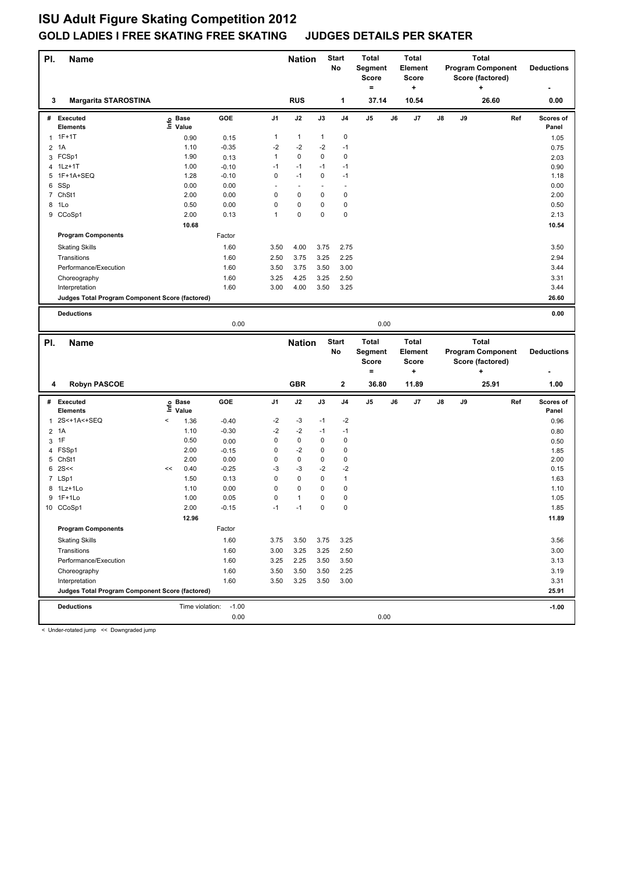| PI.            | Name                                                              |                              |                 |             | <b>Nation</b> |              | <b>Start</b><br>No     | Total<br>Segment<br>Score<br>$=$ |    | <b>Total</b><br><b>Element</b><br><b>Score</b><br>+ |    |    | Total<br>Score (factored)<br>÷ | <b>Program Component</b> | <b>Deductions</b>  |  |
|----------------|-------------------------------------------------------------------|------------------------------|-----------------|-------------|---------------|--------------|------------------------|----------------------------------|----|-----------------------------------------------------|----|----|--------------------------------|--------------------------|--------------------|--|
| 3              | <b>Margarita STAROSTINA</b>                                       |                              |                 |             | <b>RUS</b>    |              | 1                      | 37.14                            |    | 10.54                                               |    |    |                                | 26.60                    | 0.00               |  |
|                | # Executed<br><b>Elements</b>                                     | <b>Base</b><br>Life<br>Value | GOE             | J1          | J2            | J3           | J <sub>4</sub>         | J5                               | J6 | J7                                                  | J8 | J9 |                                | Ref                      | Scores of<br>Panel |  |
|                | $1.1F+1T$                                                         | 0.90                         | 0.15            | 1           | $\mathbf{1}$  | $\mathbf{1}$ | $\pmb{0}$              |                                  |    |                                                     |    |    |                                |                          | 1.05               |  |
| 2              | 1A                                                                | 1.10                         | $-0.35$         | $-2$        | $-2$          | $-2$         | $-1$                   |                                  |    |                                                     |    |    |                                |                          | 0.75               |  |
| 3              | FCSp1                                                             | 1.90                         | 0.13            | 1           | $\mathbf 0$   | 0            | $\pmb{0}$              |                                  |    |                                                     |    |    |                                |                          | 2.03               |  |
| 4              | 1Lz+1T                                                            | 1.00                         | $-0.10$         | $-1$        | $-1$          | $-1$         | $-1$                   |                                  |    |                                                     |    |    |                                |                          | 0.90               |  |
| 5              | 1F+1A+SEQ                                                         | 1.28                         | $-0.10$         | $\mathbf 0$ | $-1$          | $\mathbf 0$  | $-1$                   |                                  |    |                                                     |    |    |                                |                          | 1.18               |  |
| 6              | SSp                                                               | 0.00                         | 0.00            | L.          | ÷             | L,           | ÷,                     |                                  |    |                                                     |    |    |                                |                          | 0.00               |  |
| 7              | ChSt1                                                             | 2.00                         | 0.00            | 0           | $\mathbf 0$   | 0            | $\mathbf 0$            |                                  |    |                                                     |    |    |                                |                          | 2.00               |  |
| 8              | 1Lo                                                               | 0.50                         | 0.00            | 0           | $\mathbf 0$   | 0            | $\pmb{0}$              |                                  |    |                                                     |    |    |                                |                          | 0.50               |  |
|                | 9 CCoSp1                                                          | 2.00                         | 0.13            | 1           | $\mathbf 0$   | 0            | $\mathbf 0$            |                                  |    |                                                     |    |    |                                |                          | 2.13               |  |
|                |                                                                   | 10.68                        |                 |             |               |              |                        |                                  |    |                                                     |    |    |                                |                          | 10.54              |  |
|                | <b>Program Components</b>                                         |                              | Factor          |             |               |              |                        |                                  |    |                                                     |    |    |                                |                          |                    |  |
|                | <b>Skating Skills</b>                                             |                              | 1.60            | 3.50        | 4.00          | 3.75         | 2.75                   |                                  |    |                                                     |    |    |                                |                          | 3.50               |  |
|                | Transitions                                                       |                              | 1.60            | 2.50        | 3.75          | 3.25         | 2.25                   |                                  |    |                                                     |    |    |                                |                          | 2.94               |  |
|                | Performance/Execution                                             |                              | 1.60            | 3.50        | 3.75          | 3.50         | 3.00                   |                                  |    |                                                     |    |    |                                |                          | 3.44               |  |
|                | Choreography                                                      |                              | 1.60            | 3.25        | 4.25          | 3.25         | 2.50                   |                                  |    |                                                     |    |    |                                |                          | 3.31               |  |
|                | Interpretation                                                    |                              | 1.60            | 3.00        | 4.00          | 3.50         | 3.25                   |                                  |    |                                                     |    |    |                                |                          | 3.44               |  |
|                | Judges Total Program Component Score (factored)                   |                              |                 |             |               |              |                        |                                  |    |                                                     |    |    |                                |                          | 26.60              |  |
|                |                                                                   |                              |                 |             |               |              |                        |                                  |    |                                                     |    |    |                                |                          |                    |  |
|                | <b>Deductions</b>                                                 |                              |                 |             |               |              |                        |                                  |    |                                                     |    |    |                                |                          | 0.00               |  |
|                |                                                                   |                              | 0.00            |             |               |              |                        | 0.00                             |    |                                                     |    |    |                                |                          |                    |  |
|                |                                                                   |                              |                 |             |               |              |                        |                                  |    |                                                     |    |    |                                |                          |                    |  |
|                |                                                                   |                              |                 |             |               |              | <b>Start</b>           | <b>Total</b>                     |    | <b>Total</b>                                        |    |    | <b>Total</b>                   |                          |                    |  |
| PI.            | <b>Name</b>                                                       |                              |                 |             | <b>Nation</b> |              | No                     | Segment                          |    | <b>Element</b>                                      |    |    |                                | <b>Program Component</b> | <b>Deductions</b>  |  |
|                |                                                                   |                              |                 |             |               |              |                        | <b>Score</b>                     |    | <b>Score</b>                                        |    |    | Score (factored)               |                          |                    |  |
|                |                                                                   |                              |                 |             |               |              |                        | $\equiv$                         |    | +                                                   |    |    | ٠                              |                          |                    |  |
| 4              | <b>Robyn PASCOE</b>                                               |                              |                 |             | <b>GBR</b>    |              | $\mathbf 2$            | 36.80                            |    | 11.89                                               |    |    | 25.91                          |                          | 1.00               |  |
|                |                                                                   |                              |                 |             |               |              |                        |                                  |    |                                                     |    |    |                                |                          |                    |  |
| #              | <b>Executed</b><br><b>Elements</b>                                | <b>Base</b><br>١nf٥<br>Value | GOE             | J1          | J2            | J3           | J <sub>4</sub>         | J5                               | J6 | J7                                                  | J8 | J9 |                                | Ref                      | Scores of<br>Panel |  |
| 1              | 2S<+1A<+SEQ                                                       | $\,<$                        |                 | -2          | -3            | $-1$         | $-2$                   |                                  |    |                                                     |    |    |                                |                          |                    |  |
|                |                                                                   | 1.36<br>1.10                 | $-0.40$         | $-2$        | $-2$          | $-1$         | $-1$                   |                                  |    |                                                     |    |    |                                |                          | 0.96               |  |
| $\overline{2}$ | 1A                                                                |                              | $-0.30$         | 0           | $\mathbf 0$   | 0            |                        |                                  |    |                                                     |    |    |                                |                          | 0.80               |  |
| 3              | 1F                                                                | 0.50<br>2.00                 | 0.00            | 0           | $-2$          | 0            | $\pmb{0}$<br>$\pmb{0}$ |                                  |    |                                                     |    |    |                                |                          | 0.50               |  |
| 4              | FSSp1<br>5 ChSt1                                                  | 2.00                         | $-0.15$<br>0.00 | 0           | $\mathbf 0$   | 0            | $\pmb{0}$              |                                  |    |                                                     |    |    |                                |                          | 1.85<br>2.00       |  |
| 6              | 2S<<                                                              | 0.40<br><<                   | $-0.25$         | $-3$        | $-3$          | $-2$         | $-2$                   |                                  |    |                                                     |    |    |                                |                          | 0.15               |  |
|                | 7 LSp1                                                            | 1.50                         | 0.13            | 0           | $\mathbf 0$   | 0            | $\mathbf{1}$           |                                  |    |                                                     |    |    |                                |                          | 1.63               |  |
| 8              | 1Lz+1Lo                                                           | 1.10                         | 0.00            | 0           | 0             | 0            | $\pmb{0}$              |                                  |    |                                                     |    |    |                                |                          | 1.10               |  |
|                | 9 1F+1Lo                                                          | 1.00                         | 0.05            | 0           | $\mathbf{1}$  | 0            | $\mathbf 0$            |                                  |    |                                                     |    |    |                                |                          | 1.05               |  |
|                | 10 CCoSp1                                                         | 2.00                         | $-0.15$         | $-1$        | $-1$          | 0            | $\mathbf 0$            |                                  |    |                                                     |    |    |                                |                          | 1.85               |  |
|                |                                                                   | 12.96                        |                 |             |               |              |                        |                                  |    |                                                     |    |    |                                |                          | 11.89              |  |
|                | <b>Program Components</b>                                         |                              | Factor          |             |               |              |                        |                                  |    |                                                     |    |    |                                |                          |                    |  |
|                | <b>Skating Skills</b>                                             |                              | 1.60            | 3.75        | 3.50          | 3.75         | 3.25                   |                                  |    |                                                     |    |    |                                |                          | 3.56               |  |
|                |                                                                   |                              |                 |             |               |              |                        |                                  |    |                                                     |    |    |                                |                          |                    |  |
|                | Transitions                                                       |                              | 1.60            | 3.00        | 3.25          | 3.25         | 2.50                   |                                  |    |                                                     |    |    |                                |                          | 3.00               |  |
|                | Performance/Execution                                             |                              | 1.60            | 3.25        | 2.25          | 3.50         | 3.50                   |                                  |    |                                                     |    |    |                                |                          | 3.13               |  |
|                | Choreography                                                      |                              | 1.60            | 3.50        | 3.50          | 3.50         | 2.25                   |                                  |    |                                                     |    |    |                                |                          | 3.19               |  |
|                | Interpretation<br>Judges Total Program Component Score (factored) |                              | 1.60            | 3.50        | 3.25          | 3.50         | 3.00                   |                                  |    |                                                     |    |    |                                |                          | 3.31<br>25.91      |  |
|                |                                                                   |                              |                 |             |               |              |                        |                                  |    |                                                     |    |    |                                |                          |                    |  |
|                | <b>Deductions</b>                                                 | Time violation:              | $-1.00$<br>0.00 |             |               |              |                        | 0.00                             |    |                                                     |    |    |                                |                          | $-1.00$            |  |

< Under-rotated jump << Downgraded jump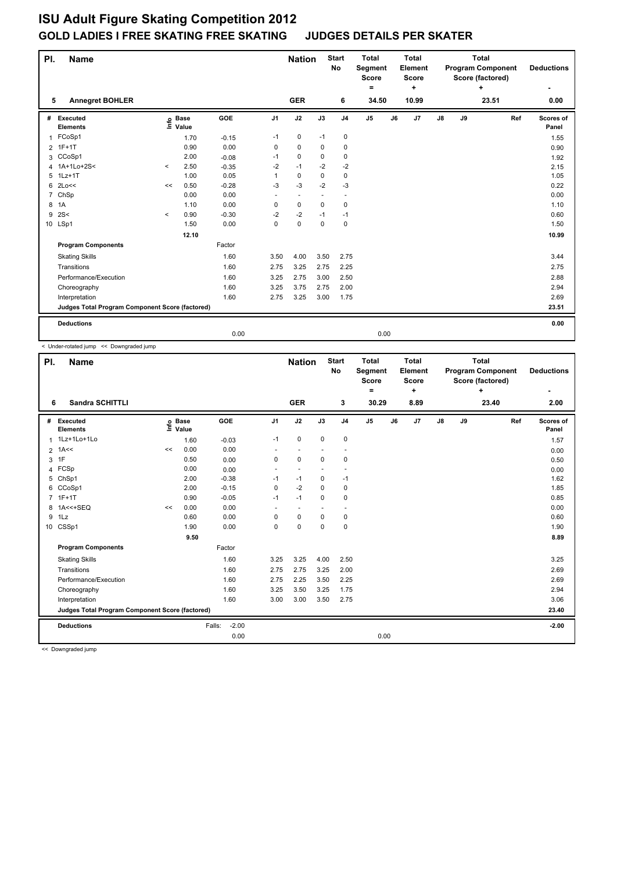| PI.            | <b>Name</b>                                     |         |                            |         |                          | <b>Nation</b> |                          | <b>Start</b><br>No       | <b>Total</b><br>Segment<br><b>Score</b><br>۰ |    | <b>Total</b><br>Element<br>Score<br>÷ | <b>Total</b><br><b>Program Component</b><br>Score (factored)<br>÷ |    |       | <b>Deductions</b> |                    |
|----------------|-------------------------------------------------|---------|----------------------------|---------|--------------------------|---------------|--------------------------|--------------------------|----------------------------------------------|----|---------------------------------------|-------------------------------------------------------------------|----|-------|-------------------|--------------------|
| 5              | <b>Annegret BOHLER</b>                          |         |                            |         |                          | <b>GER</b>    |                          | 6                        | 34.50                                        |    | 10.99                                 |                                                                   |    | 23.51 |                   | 0.00               |
| #              | Executed<br><b>Elements</b>                     |         | e Base<br>E Value<br>Value | GOE     | J <sub>1</sub>           | J2            | J3                       | J <sub>4</sub>           | J <sub>5</sub>                               | J6 | J7                                    | J8                                                                | J9 |       | Ref               | Scores of<br>Panel |
| $\mathbf{1}$   | FCoSp1                                          |         | 1.70                       | $-0.15$ | $-1$                     | $\pmb{0}$     | $-1$                     | $\mathbf 0$              |                                              |    |                                       |                                                                   |    |       |                   | 1.55               |
|                | 2 1F+1T                                         |         | 0.90                       | 0.00    | 0                        | 0             | 0                        | 0                        |                                              |    |                                       |                                                                   |    |       |                   | 0.90               |
| 3              | CCoSp1                                          |         | 2.00                       | $-0.08$ | $-1$                     | $\mathbf 0$   | $\Omega$                 | $\pmb{0}$                |                                              |    |                                       |                                                                   |    |       |                   | 1.92               |
| 4              | 1A+1Lo+2S<                                      | $\prec$ | 2.50                       | $-0.35$ | $-2$                     | $-1$          | $-2$                     | $-2$                     |                                              |    |                                       |                                                                   |    |       |                   | 2.15               |
| 5              | $1Lz+1T$                                        |         | 1.00                       | 0.05    | 1                        | $\mathbf 0$   | $\mathbf 0$              | $\mathbf 0$              |                                              |    |                                       |                                                                   |    |       |                   | 1.05               |
| 6              | 2Lo<<                                           | <<      | 0.50                       | $-0.28$ | $-3$                     | $-3$          | $-2$                     | $-3$                     |                                              |    |                                       |                                                                   |    |       |                   | 0.22               |
| $\overline{7}$ | ChSp                                            |         | 0.00                       | 0.00    | $\overline{\phantom{a}}$ | $\sim$        | $\overline{\phantom{a}}$ | $\overline{\phantom{a}}$ |                                              |    |                                       |                                                                   |    |       |                   | 0.00               |
| 8              | 1A                                              |         | 1.10                       | 0.00    | 0                        | $\mathbf 0$   | $\mathbf 0$              | $\pmb{0}$                |                                              |    |                                       |                                                                   |    |       |                   | 1.10               |
| 9              | 2S<                                             | $\prec$ | 0.90                       | $-0.30$ | $-2$                     | $-2$          | $-1$                     | $-1$                     |                                              |    |                                       |                                                                   |    |       |                   | 0.60               |
|                | 10 LSp1                                         |         | 1.50                       | 0.00    | 0                        | $\mathbf 0$   | $\mathbf 0$              | $\mathbf 0$              |                                              |    |                                       |                                                                   |    |       |                   | 1.50               |
|                |                                                 |         | 12.10                      |         |                          |               |                          |                          |                                              |    |                                       |                                                                   |    |       |                   | 10.99              |
|                | <b>Program Components</b>                       |         |                            | Factor  |                          |               |                          |                          |                                              |    |                                       |                                                                   |    |       |                   |                    |
|                | <b>Skating Skills</b>                           |         |                            | 1.60    | 3.50                     | 4.00          | 3.50                     | 2.75                     |                                              |    |                                       |                                                                   |    |       |                   | 3.44               |
|                | Transitions                                     |         |                            | 1.60    | 2.75                     | 3.25          | 2.75                     | 2.25                     |                                              |    |                                       |                                                                   |    |       |                   | 2.75               |
|                | Performance/Execution                           |         |                            | 1.60    | 3.25                     | 2.75          | 3.00                     | 2.50                     |                                              |    |                                       |                                                                   |    |       |                   | 2.88               |
|                | Choreography                                    |         |                            | 1.60    | 3.25                     | 3.75          | 2.75                     | 2.00                     |                                              |    |                                       |                                                                   |    |       |                   | 2.94               |
|                | Interpretation                                  |         |                            | 1.60    | 2.75                     | 3.25          | 3.00                     | 1.75                     |                                              |    |                                       |                                                                   |    |       |                   | 2.69               |
|                | Judges Total Program Component Score (factored) |         |                            |         |                          |               |                          |                          |                                              |    |                                       |                                                                   |    |       |                   | 23.51              |
|                | <b>Deductions</b>                               |         |                            |         |                          |               |                          |                          |                                              |    |                                       |                                                                   |    |       |                   | 0.00               |
|                |                                                 |         |                            | 0.00    |                          |               |                          |                          | 0.00                                         |    |                                       |                                                                   |    |       |                   |                    |

< Under-rotated jump << Downgraded jump

| PI. | <b>Name</b>                                     |    |                            | <b>Nation</b>     |                | <b>Start</b><br><b>No</b> | <b>Total</b><br>Segment<br><b>Score</b><br>۰ |                          | <b>Total</b><br>Element<br><b>Score</b><br>÷ | <b>Total</b><br><b>Program Component</b><br>Score (factored)<br>÷ |      |               |    | <b>Deductions</b> |     |                    |
|-----|-------------------------------------------------|----|----------------------------|-------------------|----------------|---------------------------|----------------------------------------------|--------------------------|----------------------------------------------|-------------------------------------------------------------------|------|---------------|----|-------------------|-----|--------------------|
| 6   | <b>Sandra SCHITTLI</b>                          |    |                            |                   |                | <b>GER</b>                |                                              | 3                        | 30.29                                        |                                                                   | 8.89 |               |    | 23.40             |     | 2.00               |
| #   | Executed<br><b>Elements</b>                     |    | e Base<br>E Value<br>Value | <b>GOE</b>        | J <sub>1</sub> | J2                        | J3                                           | J <sub>4</sub>           | J5                                           | J6                                                                | J7   | $\mathsf{J}8$ | J9 |                   | Ref | Scores of<br>Panel |
|     | 1Lz+1Lo+1Lo                                     |    | 1.60                       | $-0.03$           | $-1$           | 0                         | $\mathbf 0$                                  | $\mathbf 0$              |                                              |                                                                   |      |               |    |                   |     | 1.57               |
|     | $2$ 1A<<                                        | << | 0.00                       | 0.00              |                | $\overline{\phantom{a}}$  |                                              | $\overline{\phantom{a}}$ |                                              |                                                                   |      |               |    |                   |     | 0.00               |
| 3   | 1F                                              |    | 0.50                       | 0.00              | 0              | $\mathbf 0$               | $\Omega$                                     | $\mathbf 0$              |                                              |                                                                   |      |               |    |                   |     | 0.50               |
| 4   | FCSp                                            |    | 0.00                       | 0.00              |                |                           |                                              | $\overline{\phantom{a}}$ |                                              |                                                                   |      |               |    |                   |     | 0.00               |
| 5   | ChSp1                                           |    | 2.00                       | $-0.38$           | $-1$           | $-1$                      | 0                                            | $-1$                     |                                              |                                                                   |      |               |    |                   |     | 1.62               |
| 6   | CCoSp1                                          |    | 2.00                       | $-0.15$           | 0              | $-2$                      | $\Omega$                                     | 0                        |                                              |                                                                   |      |               |    |                   |     | 1.85               |
|     | 7 1F+1T                                         |    | 0.90                       | $-0.05$           | $-1$           | $-1$                      | $\mathbf 0$                                  | $\mathbf 0$              |                                              |                                                                   |      |               |    |                   |     | 0.85               |
| 8   | $1A < +SEQ$                                     | << | 0.00                       | 0.00              | ÷              |                           |                                              |                          |                                              |                                                                   |      |               |    |                   |     | 0.00               |
| 9   | 1Lz                                             |    | 0.60                       | 0.00              | 0              | $\mathbf 0$               | $\mathbf 0$                                  | 0                        |                                              |                                                                   |      |               |    |                   |     | 0.60               |
|     | 10 CSSp1                                        |    | 1.90                       | 0.00              | $\Omega$       | $\Omega$                  | $\Omega$                                     | $\mathbf 0$              |                                              |                                                                   |      |               |    |                   |     | 1.90               |
|     |                                                 |    | 9.50                       |                   |                |                           |                                              |                          |                                              |                                                                   |      |               |    |                   |     | 8.89               |
|     | <b>Program Components</b>                       |    |                            | Factor            |                |                           |                                              |                          |                                              |                                                                   |      |               |    |                   |     |                    |
|     | <b>Skating Skills</b>                           |    |                            | 1.60              | 3.25           | 3.25                      | 4.00                                         | 2.50                     |                                              |                                                                   |      |               |    |                   |     | 3.25               |
|     | Transitions                                     |    |                            | 1.60              | 2.75           | 2.75                      | 3.25                                         | 2.00                     |                                              |                                                                   |      |               |    |                   |     | 2.69               |
|     | Performance/Execution                           |    |                            | 1.60              | 2.75           | 2.25                      | 3.50                                         | 2.25                     |                                              |                                                                   |      |               |    |                   |     | 2.69               |
|     | Choreography                                    |    |                            | 1.60              | 3.25           | 3.50                      | 3.25                                         | 1.75                     |                                              |                                                                   |      |               |    |                   |     | 2.94               |
|     | Interpretation                                  |    |                            | 1.60              | 3.00           | 3.00                      | 3.50                                         | 2.75                     |                                              |                                                                   |      |               |    |                   |     | 3.06               |
|     | Judges Total Program Component Score (factored) |    |                            |                   |                |                           |                                              |                          |                                              |                                                                   |      |               |    |                   |     | 23.40              |
|     | <b>Deductions</b>                               |    |                            | $-2.00$<br>Falls: |                |                           |                                              |                          |                                              |                                                                   |      |               |    |                   |     | $-2.00$            |
|     |                                                 |    |                            | 0.00              |                |                           |                                              |                          | 0.00                                         |                                                                   |      |               |    |                   |     |                    |

<< Downgraded jump